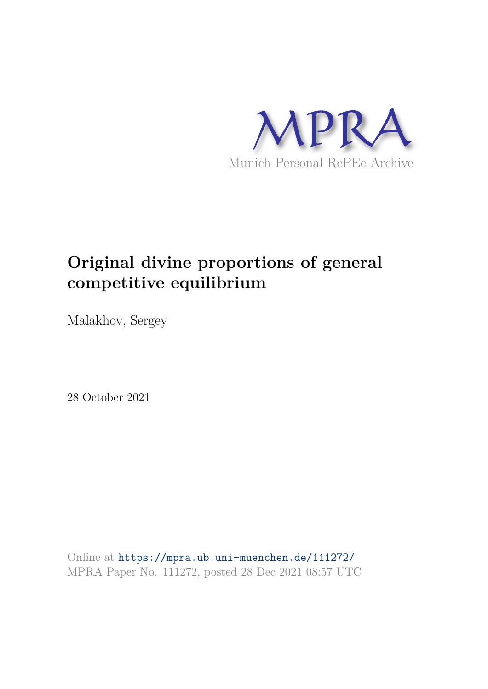

# **Original divine proportions of general competitive equilibrium**

Malakhov, Sergey

28 October 2021

Online at https://mpra.ub.uni-muenchen.de/111272/ MPRA Paper No. 111272, posted 28 Dec 2021 08:57 UTC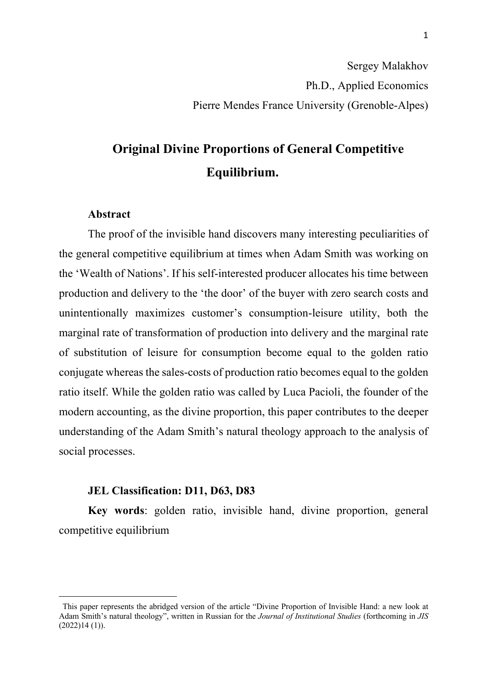## **Original Divine Proportions of General Competitive Equilibrium.**

### **Abstract**

The proof of the invisible hand discovers many interesting peculiarities of the general competitive equilibrium at times when Adam Smith was working on the 'Wealth of Nations'. If his self-interested producer allocates his time between production and delivery to the 'the door' of the buyer with zero search costs and unintentionally maximizes customer's consumption-leisure utility, both the marginal rate of transformation of production into delivery and the marginal rate of substitution of leisure for consumption become equal to the golden ratio conjugate whereas the sales-costs of production ratio becomes equal to the golden ratio itself. While the golden ratio was called by Luca Pacioli, the founder of the modern accounting, as the divine proportion, this paper contributes to the deeper understanding of the Adam Smith's natural theology approach to the analysis of social processes.

#### **JEL Classification: D11, D63, D83**

**Key words**: golden ratio, invisible hand, divine proportion, general competitive equilibrium

This paper represents the abridged version of the article "Divine Proportion of Invisible Hand: a new look at Adam Smith's natural theology", written in Russian for the *Journal of Institutional Studies* (forthcoming in *JIS*  $(2022)14(1)$ ).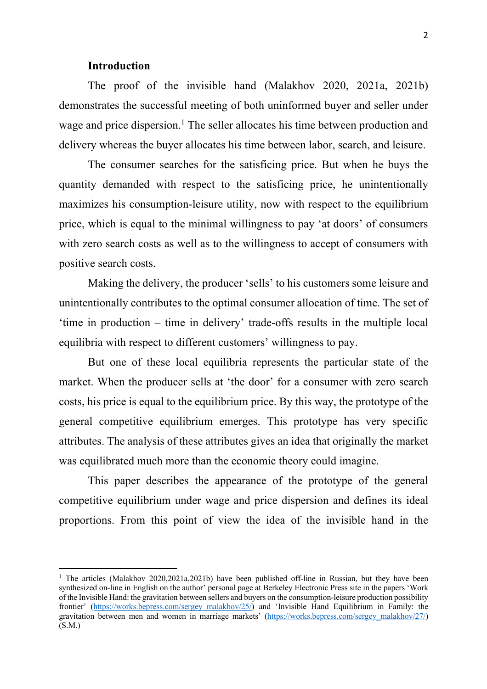#### **Introduction**

The proof of the invisible hand (Malakhov 2020, 2021a, 2021b) demonstrates the successful meeting of both uninformed buyer and seller under wage and price dispersion.<sup>1</sup> The seller allocates his time between production and delivery whereas the buyer allocates his time between labor, search, and leisure.

The consumer searches for the satisficing price. But when he buys the quantity demanded with respect to the satisficing price, he unintentionally maximizes his consumption-leisure utility, now with respect to the equilibrium price, which is equal to the minimal willingness to pay 'at doors' of consumers with zero search costs as well as to the willingness to accept of consumers with positive search costs.

Making the delivery, the producer 'sells' to his customers some leisure and unintentionally contributes to the optimal consumer allocation of time. The set of 'time in production – time in delivery' trade-offs results in the multiple local equilibria with respect to different customers' willingness to pay.

But one of these local equilibria represents the particular state of the market. When the producer sells at 'the door' for a consumer with zero search costs, his price is equal to the equilibrium price. By this way, the prototype of the general competitive equilibrium emerges. This prototype has very specific attributes. The analysis of these attributes gives an idea that originally the market was equilibrated much more than the economic theory could imagine.

This paper describes the appearance of the prototype of the general competitive equilibrium under wage and price dispersion and defines its ideal proportions. From this point of view the idea of the invisible hand in the

<sup>&</sup>lt;sup>1</sup> The articles (Malakhov 2020,2021a,2021b) have been published off-line in Russian, but they have been synthesized on-line in English on the author' personal page at Berkeley Electronic Press site in the papers 'Work of the Invisible Hand: the gravitation between sellers and buyers on the consumption-leisure production possibility frontier' (https://works.bepress.com/sergey\_malakhov/25/) and 'Invisible Hand Equilibrium in Family: the gravitation between men and women in marriage markets' (https://works.bepress.com/sergey\_malakhov/27/) (S.M.)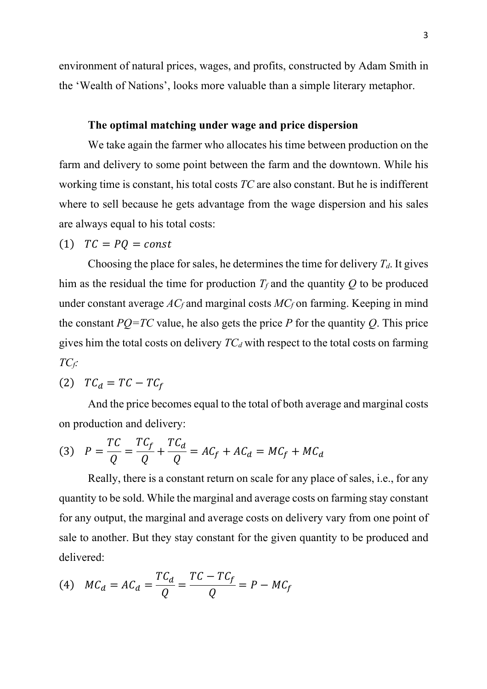environment of natural prices, wages, and profits, constructed by Adam Smith in the 'Wealth of Nations', looks more valuable than a simple literary metaphor.

## **The optimal matching under wage and price dispersion**

We take again the farmer who allocates his time between production on the farm and delivery to some point between the farm and the downtown. While his working time is constant, his total costs *TC* are also constant. But he is indifferent where to sell because he gets advantage from the wage dispersion and his sales are always equal to his total costs:

## $(T)$   $TC = PQ = const$

Choosing the place for sales, he determines the time for delivery  $T_d$ . It gives him as the residual the time for production  $T_f$  and the quantity  $O$  to be produced under constant average *AC<sup>f</sup>* and marginal costs *MC<sup>f</sup>* on farming. Keeping in mind the constant  $PQ=TC$  value, he also gets the price  $P$  for the quantity  $Q$ . This price gives him the total costs on delivery *TC<sup>d</sup>* with respect to the total costs on farming *TCf:*

$$
(2) \tTC_d = TC - TC_f
$$

And the price becomes equal to the total of both average and marginal costs on production and delivery:

$$
(3) \quad P = \frac{TC}{Q} = \frac{TC_f}{Q} + \frac{TC_d}{Q} = AC_f + AC_d = MC_f + MC_d
$$

Really, there is a constant return on scale for any place of sales, i.e., for any quantity to be sold. While the marginal and average costs on farming stay constant for any output, the marginal and average costs on delivery vary from one point of sale to another. But they stay constant for the given quantity to be produced and delivered:

$$
(4) \quad MC_d = AC_d = \frac{TC_d}{Q} = \frac{TC - TC_f}{Q} = P - MC_f
$$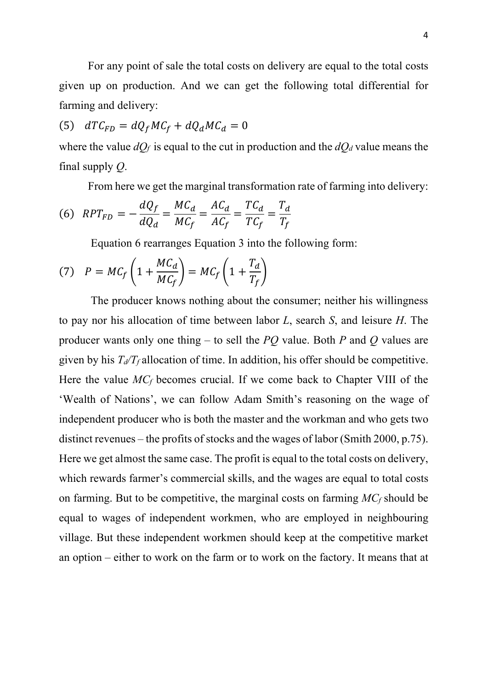For any point of sale the total costs on delivery are equal to the total costs given up on production. And we can get the following total differential for farming and delivery:

$$
(5) \quad dTC_{FD} = dQ_f MC_f + dQ_d MC_d = 0
$$

where the value  $dQ_f$  is equal to the cut in production and the  $dQ_d$  value means the final supply *Q*.

From here we get the marginal transformation rate of farming into delivery:

$$
(6) \quad RPT_{FD} = -\frac{dQ_f}{dQ_d} = \frac{MC_d}{MC_f} = \frac{AC_d}{AC_f} = \frac{TC_d}{TC_f} = \frac{T_d}{T_f}
$$

Equation 6 rearranges Equation 3 into the following form:

(7) 
$$
P = MC_f \left( 1 + \frac{MC_d}{MC_f} \right) = MC_f \left( 1 + \frac{T_d}{T_f} \right)
$$

The producer knows nothing about the consumer; neither his willingness to pay nor his allocation of time between labor *L*, search *S*, and leisure *H*. The producer wants only one thing – to sell the *PQ* value. Both *P* and *Q* values are given by his  $T_d/T_f$  allocation of time. In addition, his offer should be competitive. Here the value *MC<sup>f</sup>* becomes crucial. If we come back to Chapter VIII of the 'Wealth of Nations', we can follow Adam Smith's reasoning on the wage of independent producer who is both the master and the workman and who gets two distinct revenues – the profits of stocks and the wages of labor (Smith 2000, p.75). Here we get almost the same case. The profit is equal to the total costs on delivery, which rewards farmer's commercial skills, and the wages are equal to total costs on farming. But to be competitive, the marginal costs on farming *MC<sup>f</sup>* should be equal to wages of independent workmen, who are employed in neighbouring village. But these independent workmen should keep at the competitive market an option – either to work on the farm or to work on the factory. It means that at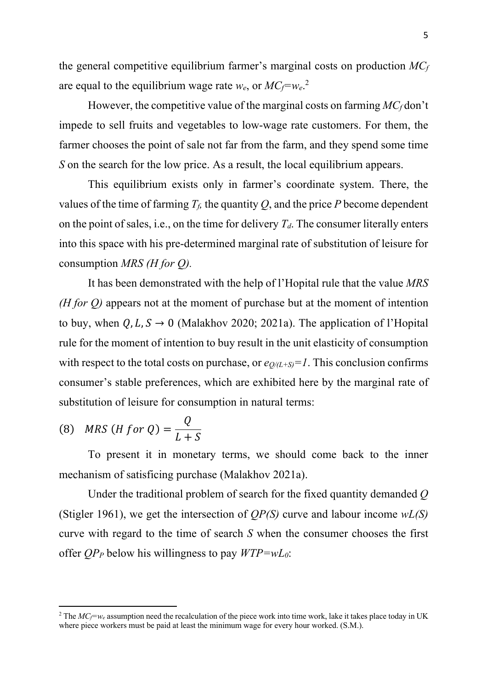the general competitive equilibrium farmer's marginal costs on production *MC<sup>f</sup>* are equal to the equilibrium wage rate *we*, or *MCf=we*. 2

However, the competitive value of the marginal costs on farming *MC<sup>f</sup>* don't impede to sell fruits and vegetables to low-wage rate customers. For them, the farmer chooses the point of sale not far from the farm, and they spend some time *S* on the search for the low price. As a result, the local equilibrium appears.

This equilibrium exists only in farmer's coordinate system. There, the values of the time of farming  $T_f$ , the quantity  $Q$ , and the price  $P$  become dependent on the point of sales, i.e., on the time for delivery  $T_d$ . The consumer literally enters into this space with his pre-determined marginal rate of substitution of leisure for consumption *MRS (H for Q).*

It has been demonstrated with the help of l'Hopital rule that the value *MRS (H for Q)* appears not at the moment of purchase but at the moment of intention to buy, when  $Q, L, S \rightarrow 0$  (Malakhov 2020; 2021a). The application of l'Hopital rule for the moment of intention to buy result in the unit elasticity of consumption with respect to the total costs on purchase, or  $e_{O/(L+S)} = 1$ . This conclusion confirms consumer's stable preferences, which are exhibited here by the marginal rate of substitution of leisure for consumption in natural terms:

(8) *MRS* 
$$
(H \text{ for } Q) = \frac{Q}{L+S}
$$

To present it in monetary terms, we should come back to the inner mechanism of satisficing purchase (Malakhov 2021a).

Under the traditional problem of search for the fixed quantity demanded *Q* (Stigler 1961), we get the intersection of *QP(S)* curve and labour income *wL(S)* curve with regard to the time of search *S* when the consumer chooses the first offer *QP<sup>P</sup>* below his willingness to pay *WTP=wL0*:

<sup>&</sup>lt;sup>2</sup> The  $MC_f=w_e$  assumption need the recalculation of the piece work into time work, lake it takes place today in UK where piece workers must be paid at least the minimum wage for every hour worked. (S.M.).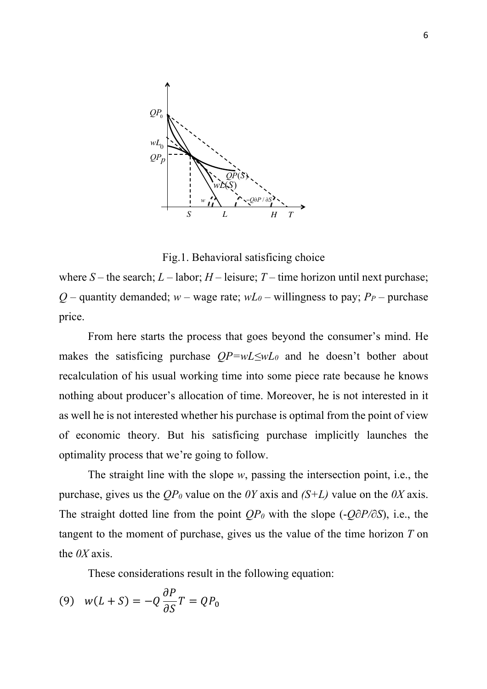

Fig.1. Behavioral satisficing choice

where  $S$  – the search;  $L$  – labor;  $H$  – leisure;  $T$  – time horizon until next purchase; *Q* – quantity demanded; *w* – wage rate;  $wL_0$  – willingness to pay; *P<sub>P</sub>* – purchase price.

From here starts the process that goes beyond the consumer's mind. He makes the satisficing purchase *QP=wL≤wL0* and he doesn't bother about recalculation of his usual working time into some piece rate because he knows nothing about producer's allocation of time. Moreover, he is not interested in it as well he is not interested whether his purchase is optimal from the point of view of economic theory. But his satisficing purchase implicitly launches the optimality process that we're going to follow.

The straight line with the slope *w*, passing the intersection point, i.e., the purchase, gives us the *QP<sup>0</sup>* value on the *0Y* axis and *(S+L)* value on the *0X* axis. The straight dotted line from the point *QP<sup>0</sup>* with the slope (-*Q∂P/∂S*), i.e., the tangent to the moment of purchase, gives us the value of the time horizon *T* on the *0X* axis.

These considerations result in the following equation:

$$
(9) \quad w(L+S) = -Q\frac{\partial P}{\partial S}T = QP_0
$$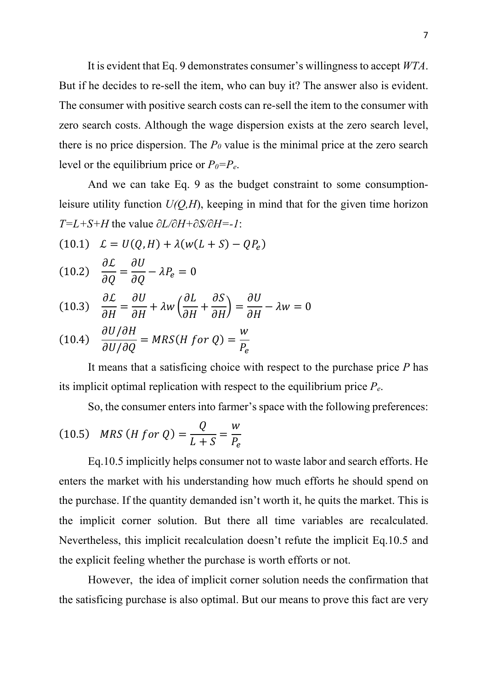It is evident that Eq. 9 demonstrates consumer's willingness to accept *WTA*. But if he decides to re-sell the item, who can buy it? The answer also is evident. The consumer with positive search costs can re-sell the item to the consumer with zero search costs. Although the wage dispersion exists at the zero search level, there is no price dispersion. The  $P_0$  value is the minimal price at the zero search level or the equilibrium price or  $P_0 = P_e$ .

And we can take Eq. 9 as the budget constraint to some consumptionleisure utility function *U(Q,H*), keeping in mind that for the given time horizon *T=L+S+H* the value *∂L/∂H+∂S/∂H=-1*:

$$
(10.1) \quad \mathcal{L} = U(Q, H) + \lambda(w(L+S) - QP_e)
$$

$$
(10.2) \quad \frac{\partial \mathcal{L}}{\partial Q} = \frac{\partial U}{\partial Q} - \lambda P_e = 0
$$

 $\sim$   $-$ 

$$
(10.3) \quad \frac{\partial \mathcal{L}}{\partial H} = \frac{\partial U}{\partial H} + \lambda w \left( \frac{\partial L}{\partial H} + \frac{\partial S}{\partial H} \right) = \frac{\partial U}{\partial H} - \lambda w = 0
$$

(10.4) 
$$
\frac{\partial U/\partial H}{\partial U/\partial Q} = MRS(H for Q) = \frac{W}{P_e}
$$

It means that a satisficing choice with respect to the purchase price *P* has its implicit optimal replication with respect to the equilibrium price *Pe*.

So, the consumer enters into farmer's space with the following preferences:

(10.5) *MRS* (*H for Q*) = 
$$
\frac{Q}{L+S} = \frac{W}{P_e}
$$

Eq.10.5 implicitly helps consumer not to waste labor and search efforts. He enters the market with his understanding how much efforts he should spend on the purchase. If the quantity demanded isn't worth it, he quits the market. This is the implicit corner solution. But there all time variables are recalculated. Nevertheless, this implicit recalculation doesn't refute the implicit Eq.10.5 and the explicit feeling whether the purchase is worth efforts or not.

However, the idea of implicit corner solution needs the confirmation that the satisficing purchase is also optimal. But our means to prove this fact are very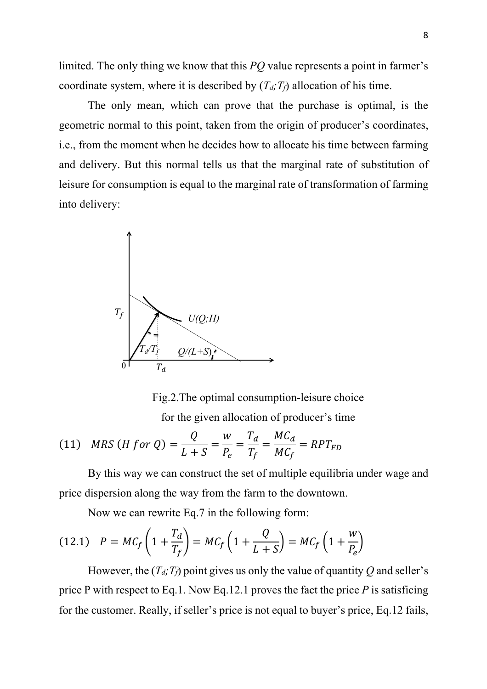limited. The only thing we know that this *PQ* value represents a point in farmer's coordinate system, where it is described by  $(T_d; T_f)$  allocation of his time.

The only mean, which can prove that the purchase is optimal, is the geometric normal to this point, taken from the origin of producer's coordinates, i.e., from the moment when he decides how to allocate his time between farming and delivery. But this normal tells us that the marginal rate of substitution of leisure for consumption is equal to the marginal rate of transformation of farming into delivery:



Fig.2.The optimal consumption-leisure choice for the given allocation of producer's time

(11) *MRS* (*H for Q*) = 
$$
\frac{Q}{L+S} = \frac{W}{P_e} = \frac{T_d}{T_f} = \frac{MC_d}{MC_f} = RPT_{FD}
$$

By this way we can construct the set of multiple equilibria under wage and price dispersion along the way from the farm to the downtown.

Now we can rewrite Eq.7 in the following form:

$$
(12.1) \quad P = MC_f \left( 1 + \frac{T_d}{T_f} \right) = MC_f \left( 1 + \frac{Q}{L+S} \right) = MC_f \left( 1 + \frac{W}{P_e} \right)
$$

However, the  $(T_d, T_f)$  point gives us only the value of quantity Q and seller's price P with respect to Eq.1. Now Eq.12.1 proves the fact the price *P* is satisficing for the customer. Really, if seller's price is not equal to buyer's price, Eq.12 fails,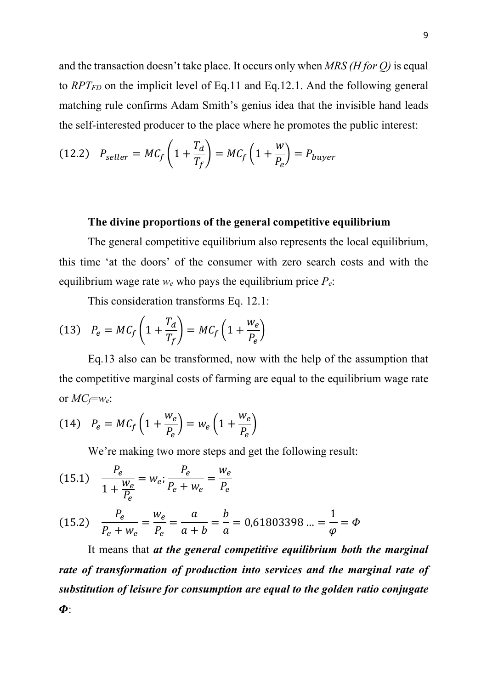and the transaction doesn't take place. It occurs only when *MRS (H for Q)* is equal to *RPTFD* on the implicit level of Eq.11 and Eq.12.1. And the following general matching rule confirms Adam Smith's genius idea that the invisible hand leads the self-interested producer to the place where he promotes the public interest:

(12.2) 
$$
P_{\text{self}} = MC_f \left( 1 + \frac{T_d}{T_f} \right) = MC_f \left( 1 + \frac{W}{P_e} \right) = P_{\text{burger}}
$$

### **The divine proportions of the general competitive equilibrium**

The general competitive equilibrium also represents the local equilibrium, this time 'at the doors' of the consumer with zero search costs and with the equilibrium wage rate  $w_e$  who pays the equilibrium price  $P_e$ :

This consideration transforms Eq. 12.1:

$$
(13) \quad P_e = MC_f \left( 1 + \frac{T_d}{T_f} \right) = MC_f \left( 1 + \frac{W_e}{P_e} \right)
$$

Eq.13 also can be transformed, now with the help of the assumption that the competitive marginal costs of farming are equal to the equilibrium wage rate or  $MC_f = w_e$ :

$$
(14) \quad P_e = MC_f \left( 1 + \frac{w_e}{P_e} \right) = w_e \left( 1 + \frac{w_e}{P_e} \right)
$$

We're making two more steps and get the following result:

(15.1) 
$$
\frac{P_e}{1 + \frac{W_e}{P_e}} = W_e; \frac{P_e}{P_e + W_e} = \frac{W_e}{P_e}
$$

(15.2) 
$$
\frac{P_e}{P_e + w_e} = \frac{w_e}{P_e} = \frac{a}{a+b} = \frac{b}{a} = 0.61803398... = \frac{1}{\varphi} = \Phi
$$

It means that *at the general competitive equilibrium both the marginal rate of transformation of production into services and the marginal rate of substitution of leisure for consumption are equal to the golden ratio conjugate*  $\boldsymbol{\Phi}$ .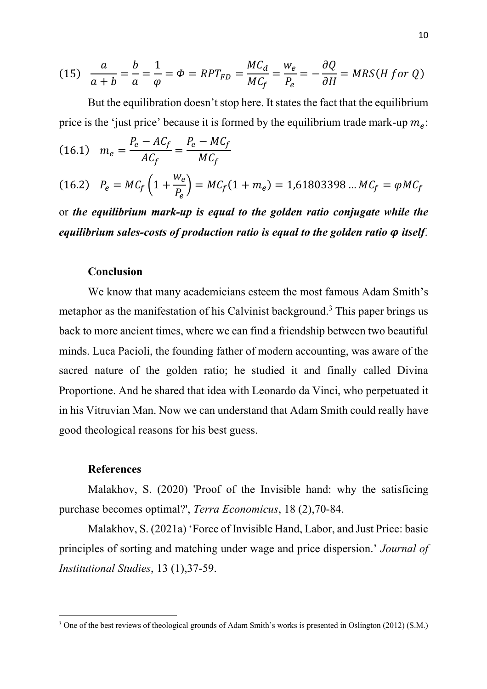(15) 
$$
\frac{a}{a+b} = \frac{b}{a} = \frac{1}{\varphi} = \varphi = RPT_{FD} = \frac{MC_d}{MC_f} = \frac{w_e}{P_e} = -\frac{\partial Q}{\partial H} = MRS(H \text{ for } Q)
$$

But the equilibration doesn't stop here. It states the fact that the equilibrium price is the 'just price' because it is formed by the equilibrium trade mark-up  $m_e$ :

(16.1) 
$$
m_e = \frac{P_e - AC_f}{AC_f} = \frac{P_e - MC_f}{MC_f}
$$
  
(16.2)  $P_e = MC_f \left(1 + \frac{w_e}{P_e}\right) = MC_f (1 + m_e) = 1,61803398 \dots MC_f = \varphi MC_f$ 

or *the equilibrium mark-up is equal to the golden ratio conjugate while the equilibrium sales-costs of production ratio is equal to the golden ratio*  $\varphi$  *itself.* 

#### **Conclusion**

We know that many academicians esteem the most famous Adam Smith's metaphor as the manifestation of his Calvinist background.<sup>3</sup> This paper brings us back to more ancient times, where we can find a friendship between two beautiful minds. Luca Pacioli, the founding father of modern accounting, was aware of the sacred nature of the golden ratio; he studied it and finally called Divina Proportione. And he shared that idea with Leonardo da Vinci, who perpetuated it in his Vitruvian Man. Now we can understand that Adam Smith could really have good theological reasons for his best guess.

#### **References**

Malakhov, S. (2020) 'Proof of the Invisible hand: why the satisficing purchase becomes optimal?', *Terra Economicus*, 18 (2),70-84.

Malakhov, S. (2021a) 'Force of Invisible Hand, Labor, and Just Price: basic principles of sorting and matching under wage and price dispersion.' *Journal of Institutional Studies*, 13 (1),37-59.

<sup>3</sup> One of the best reviews of theological grounds of Adam Smith's works is presented in Oslington (2012) (S.M.)